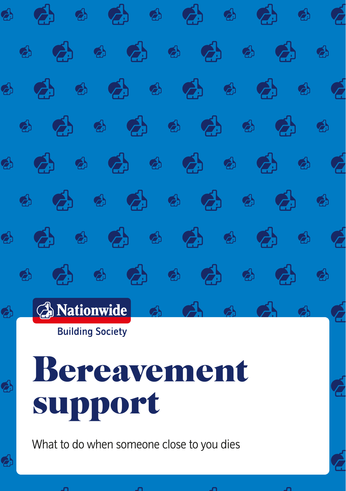

What to do when someone close to you dies



Ź.



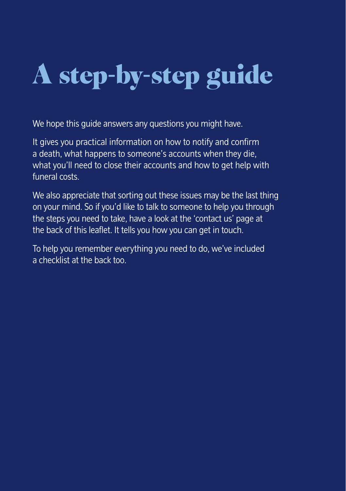# A step-by-step guide

We hope this quide answers any questions you might have.

It gives you practical information on how to notify and confirm a death, what happens to someone's accounts when they die, what you'll need to close their accounts and how to get help with funeral costs.

We also appreciate that sorting out these issues may be the last thing on your mind. So if you'd like to talk to someone to help you through the steps you need to take, have a look at the 'contact us' page at the back of this leaflet. It tells you how you can get in touch.

To help you remember everything you need to do, we've included a checklist at the back too.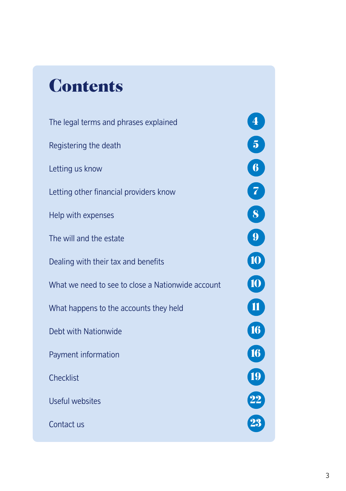# **Contents**

[The legal terms and phrases explained](#page-3-0) 4 [Registering the death](#page-4-0) 5 and 5 and 5 and 5 and 5 and 5 and 5 and 5 and 5 and 5 and 5 and 5 and 5 and 5 and 5 and 5 and 5 and 5 and 5 and 5 and 5 and 5 and 5 and 5 and 5 and 5 and 5 and 5 and 5 and 5 and 5 and 5 and 5 and 5 [Letting us know](#page-5-0) 6 and the control of the control of the control of the control of the control of the control of the control of the control of the control of the control of the control of the control of the control of the c [Letting other financial providers know](#page-6-0) 7 [Help with expenses](#page-7-0) 8 and 200 million of the state of the Second Second Second Second Second Second Second Second Second Second Second Second Second Second Second Second Second Second Second Second Second Second Second Seco [The will and the estate](#page-8-0)  $\overline{9}$ [Dealing with their tax and benefits](#page-9-0) 100 and 100 and 100 and 100 and 100 and 100 and 100 and 100 and 100 and 100 and 100 and 100 and 100 and 100 and 100 and 100 and 100 and 100 and 100 and 100 and 100 and 100 and 100 and 10 [What we need to see to close a Nationwide account](#page-9-0) [What happens to the accounts they held](#page-10-0) 11 [Debt with Nationwide](#page-15-0) 16 and 200 million 16 and 200 million 16 and 200 million 16 and 200 million 16 and 200 million 16 and 200 million 16 and 200 million 16 and 200 million 16 and 200 million 16 and 200 million 16 and 200 [Payment information](#page-15-0) 16 and 16 and 16 and 16 and 16 and 16 and 16 and 16 and 16 and 16 and 16 and 16 and 16 and 16 and 16 and 16 and 16 and 16 and 16 and 16 and 16 and 16 and 16 and 16 and 16 and 16 and 16 and 16 and 16 and [Checklist](#page-18-0) **1986** [Useful websites](#page-21-0) 22 and 22 and 22 and 22 and 22 and 22 and 22 and 22 and 22 and 22 and 22 and 22 and 22 and 22 **[Contact us](#page-22-0)** 23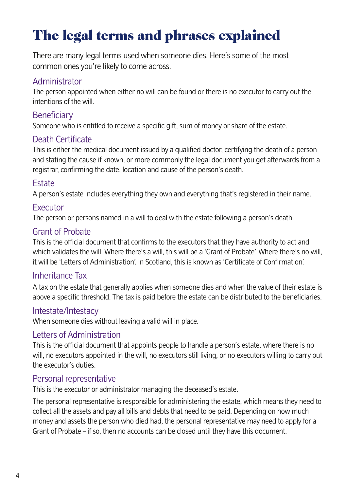# <span id="page-3-0"></span>The legal terms and phrases explained

There are many legal terms used when someone dies. Here's some of the most common ones you're likely to come across.

### Administrator

The person appointed when either no will can be found or there is no executor to carry out the intentions of the will.

# **Beneficiary**

Someone who is entitled to receive a specific gift, sum of money or share of the estate.

# Death Certificate

This is either the medical document issued by a qualified doctor, certifying the death of a person and stating the cause if known, or more commonly the legal document you get afterwards from a registrar, confirming the date, location and cause of the person's death.

### **Estate**

A person's estate includes everything they own and everything that's registered in their name.

### **Executor**

The person or persons named in a will to deal with the estate following a person's death.

# Grant of Probate

This is the official document that confirms to the executors that they have authority to act and which validates the will. Where there's a will, this will be a 'Grant of Probate'. Where there's no will, it will be 'Letters of Administration'. In Scotland, this is known as 'Certificate of Confirmation'.

### Inheritance Tax

A tax on the estate that generally applies when someone dies and when the value of their estate is above a specific threshold. The tax is paid before the estate can be distributed to the beneficiaries.

#### Intestate/Intestacy

When someone dies without leaving a valid will in place.

### Letters of Administration

This is the official document that appoints people to handle a person's estate, where there is no will, no executors appointed in the will, no executors still living, or no executors willing to carry out the executor's duties.

#### Personal representative

This is the executor or administrator managing the deceased's estate.

The personal representative is responsible for administering the estate, which means they need to collect all the assets and pay all bills and debts that need to be paid. Depending on how much money and assets the person who died had, the personal representative may need to apply for a Grant of Probate – if so, then no accounts can be closed until they have this document.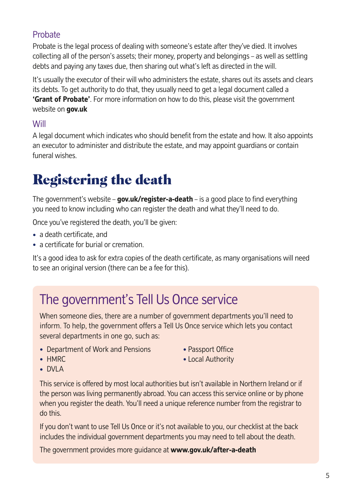# <span id="page-4-0"></span>**Probate**

Probate is the legal process of dealing with someone's estate after they've died. It involves collecting all of the person's assets; their money, property and belongings – as well as settling debts and paying any taxes due, then sharing out what's left as directed in the will.

It's usually the executor of their will who administers the estate, shares out its assets and clears its debts. To get authority to do that, they usually need to get a legal document called a **'Grant of Probate'**. For more information on how to do this, please visit the government website on **[gov.uk](https://gov.uk)**

# Will

A legal document which indicates who should benefit from the estate and how. It also appoints an executor to administer and distribute the estate, and may appoint guardians or contain funeral wishes.

# Registering the death

The government's website – **[gov.uk/register-a-death](https://gov.uk/register-a-death)** – is a good place to find everything you need to know including who can register the death and what they'll need to do.

Once you've registered the death, you'll be given:

- a death certificate, and
- a certificate for burial or cremation.

It's a good idea to ask for extra copies of the death certificate, as many organisations will need to see an original version (there can be a fee for this).

# The government's Tell Us Once service

When someone dies, there are a number of government departments you'll need to inform. To help, the government offers a Tell Us Once service which lets you contact several departments in one go, such as:

- Department of Work and Pensions Passport Office<br>• HMRC Passport Office
- 

• Local Authority

• DVLA

This service is offered by most local authorities but isn't available in Northern Ireland or if the person was living permanently abroad. You can access this service online or by phone when you register the death. You'll need a unique reference number from the registrar to do this.

If you don't want to use Tell Us Once or it's not available to you, our checklist at the back includes the individual government departments you may need to tell about the death.

The government provides more guidance at **<www.gov.uk/after-a-death>**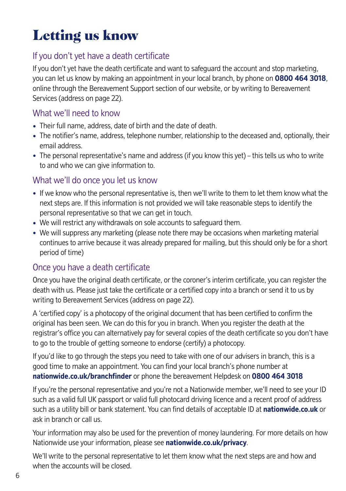# <span id="page-5-0"></span>Letting us know

# If you don't yet have a death certificate

If you don't yet have the death certificate and want to safeguard the account and stop marketing, you can let us know by making an appointment in your local branch, by phone on **0800 464 3018**, online through the Bereavement Support section of our website, or by writing to Bereavement Services (address on page 22).

### What we'll need to know

- Their full name, address, date of birth and the date of death.
- The notifier's name, address, telephone number, relationship to the deceased and, optionally, their email address.
- The personal representative's name and address (if you know this yet) this tells us who to write to and who we can give information to.

### What we'll do once you let us know

- If we know who the personal representative is, then we'll write to them to let them know what the next steps are. If this information is not provided we will take reasonable steps to identify the personal representative so that we can get in touch.
- We will restrict any withdrawals on sole accounts to safeguard them.
- We will suppress any marketing (please note there may be occasions when marketing material continues to arrive because it was already prepared for mailing, but this should only be for a short period of time)

### Once you have a death certificate

Once you have the original death certificate, or the coroner's interim certificate, you can register the death with us. Please just take the certificate or a certified copy into a branch or send it to us by writing to Bereavement Services (address on page 22).

A 'certified copy' is a photocopy of the original document that has been certified to confirm the original has been seen. We can do this for you in branch. When you register the death at the registrar's office you can alternatively pay for several copies of the death certificate so you don't have to go to the trouble of getting someone to endorse (certify) a photocopy.

If you'd like to go through the steps you need to take with one of our advisers in branch, this is a good time to make an appointment. You can find your local branch's phone number at **<nationwide.co.uk/branchfinder>** or phone the bereavement Helpdesk on **0800 464 3018**

If you're the personal representative and you're not a Nationwide member, we'll need to see your ID such as a valid full UK passport or valid full photocard driving licence and a recent proof of address such as a utility bill or bank statement. You can find details of acceptable ID at **<nationwide.co.uk>** or ask in branch or call us.

Your information may also be used for the prevention of money laundering. For more details on how Nationwide use your information, please see **<nationwide.co.uk/privacy>**.

We'll write to the personal representative to let them know what the next steps are and how and when the accounts will be closed.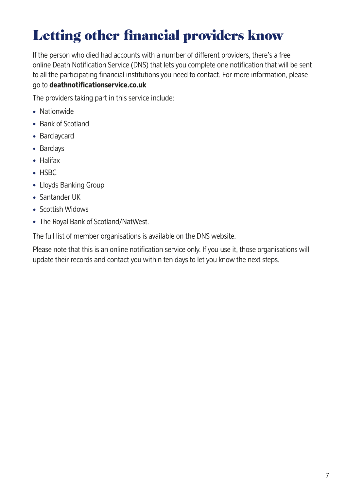# <span id="page-6-0"></span>Letting other financial providers know

If the person who died had accounts with a number of different providers, there's a free online Death Notification Service (DNS) that lets you complete one notification that will be sent to all the participating financial institutions you need to contact. For more information, please go to **<deathnotificationservice.co.uk>**

The providers taking part in this service include:

- Nationwide
- Bank of Scotland
- Barclaycard
- Barclays
- Halifax
- HSBC
- Lloyds Banking Group
- Santander UK
- Scottish Widows
- The Royal Bank of Scotland/NatWest.

The full list of member organisations is available on the DNS website.

Please note that this is an online notification service only. If you use it, those organisations will update their records and contact you within ten days to let you know the next steps.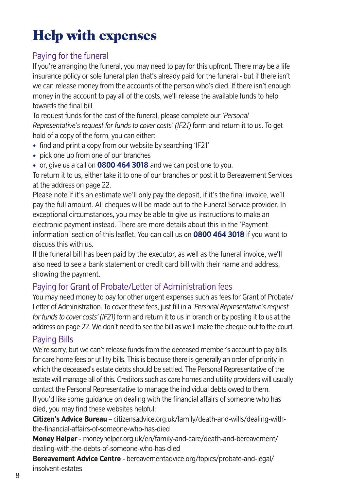# <span id="page-7-0"></span>Help with expenses

# Paying for the funeral

If you're arranging the funeral, you may need to pay for this upfront. There may be a life insurance policy or sole funeral plan that's already paid for the funeral - but if there isn't we can release money from the accounts of the person who's died. If there isn't enough money in the account to pay all of the costs, we'll release the available funds to help towards the final bill.

To request funds for the cost of the funeral, please complete our *'Personal Representative's request for funds to cover costs' (IF21)* form and return it to us. To get hold of a copy of the form, you can either:

- find and print a copy from our website by searching 'IF21'
- pick one up from one of our branches
- or, give us a call on **0800 464 3018** and we can post one to you.

To return it to us, either take it to one of our branches or post it to Bereavement Services at the address on page 22.

Please note if it's an estimate we'll only pay the deposit, if it's the final invoice, we'll pay the full amount. All cheques will be made out to the Funeral Service provider. In exceptional circumstances, you may be able to give us instructions to make an electronic payment instead. There are more details about this in the 'Payment information' section of this leaflet. You can call us on **0800 464 3018** if you want to discuss this with us.

If the funeral bill has been paid by the executor, as well as the funeral invoice, we'll also need to see a bank statement or credit card bill with their name and address, showing the payment.

### Paying for Grant of Probate/Letter of Administration fees

You may need money to pay for other urgent expenses such as fees for Grant of Probate/ Letter of Administration. To cover these fees, just fill in a *'Personal Representative's request for funds to cover costs' (IF21)* form and return it to us in branch or by posting it to us at the address on page 22. We don't need to see the bill as we'll make the cheque out to the court.

# Paying Bills

We're sorry, but we can't release funds from the deceased member's account to pay bills for care home fees or utility bills. This is because there is generally an order of priority in which the deceased's estate debts should be settled. The Personal Representative of the estate will manage all of this. Creditors such as care homes and utility providers will usually contact the Personal Representative to manage the individual debts owed to them. If you'd like some guidance on dealing with the financial affairs of someone who has died, you may find these websites helpful:

**Citizen's Advice Bureau** [– citizensadvice.org.uk/family/death-and-wills/dealing-with](citizensadvice.org.uk/family/death-and-wills/dealing-with-the-financial-affairs-of-someone-who-has-died)the-financial-affairs-of-someone-who-has-died

**Money Helper** [- moneyhelper.org.uk/en/family-and-care/death-and-bereavement/](moneyhelper.org.uk/en/family-and-care/death-and-bereavement/dealing-with-the-debts-of-someone-who-has-died) dealing-with-the-debts-of-someone-who-has-died

**Bereavement Advice Centre** [- bereavementadvice.org/topics/probate-and-legal/](https://bereavementadvice.org/topics/probate-and-legal/insolvent-estates) insolvent-estates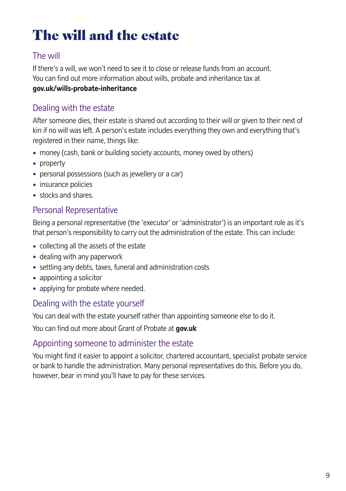# <span id="page-8-0"></span>The will and the estate

# The will

If there's a will, we won't need to see it to close or release funds from an account. You can find out more information about wills, probate and inheritance tax at **[gov.uk/wills-probate-inheritance](https://gov.uk/wills-probate-inheritance)**

# Dealing with the estate

After someone dies, their estate is shared out according to their will or given to their next of kin if no will was left. A person's estate includes everything they own and everything that's registered in their name, things like:

- money (cash, bank or building society accounts, money owed by others)
- property
- personal possessions (such as jewellery or a car)
- insurance policies
- stocks and shares.

# Personal Representative

Being a personal representative (the 'executor' or 'administrator') is an important role as it's that person's responsibility to carry out the administration of the estate. This can include:

- collecting all the assets of the estate
- dealing with any paperwork
- settling any debts, taxes, funeral and administration costs
- appointing a solicitor
- applying for probate where needed.

#### Dealing with the estate yourself

You can deal with the estate yourself rather than appointing someone else to do it.

You can find out more about Grant of Probate at **[gov.uk](https://gov.uk)**

#### Appointing someone to administer the estate

You might find it easier to appoint a solicitor, chartered accountant, specialist probate service or bank to handle the administration. Many personal representatives do this. Before you do, however, bear in mind you'll have to pay for these services.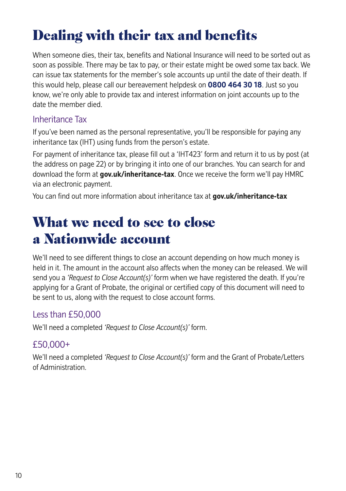# <span id="page-9-0"></span>Dealing with their tax and benefits

When someone dies, their tax, benefits and National Insurance will need to be sorted out as soon as possible. There may be tax to pay, or their estate might be owed some tax back. We can issue tax statements for the member's sole accounts up until the date of their death. If this would help, please call our bereavement helpdesk on **0800 464 30 18**. Just so you know, we're only able to provide tax and interest information on joint accounts up to the date the member died.

### Inheritance Tax

If you've been named as the personal representative, you'll be responsible for paying any inheritance tax (IHT) using funds from the person's estate.

For payment of inheritance tax, please fill out a 'IHT423' form and return it to us by post (at the address on page 22) or by bringing it into one of our branches. You can search for and download the form at **[gov.uk/inheritance-tax](https://gov.uk/inheritance-tax)**. Once we receive the form we'll pay HMRC via an electronic payment.

You can find out more information about inheritance tax at **[gov.uk/inheritance-tax](https://gov.uk/inheritance-tax)**

# What we need to see to close a Nationwide account

We'll need to see different things to close an account depending on how much money is held in it. The amount in the account also affects when the money can be released. We will send you a *'Request to Close Account(s)'* form when we have registered the death. If you're applying for a Grant of Probate, the original or certified copy of this document will need to be sent to us, along with the request to close account forms.

# Less than £50,000

We'll need a completed *'Request to Close Account(s)'* form.

# £50,000+

We'll need a completed *'Request to Close Account(s)'* form and the Grant of Probate/Letters of Administration.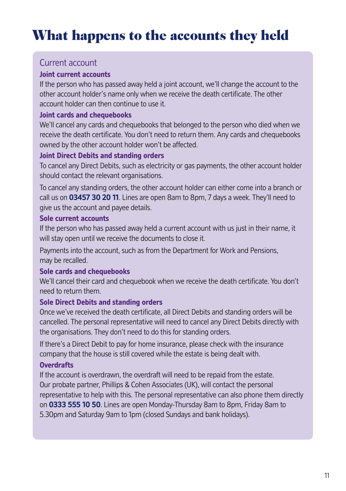# <span id="page-10-0"></span>What happens to the accounts they held

# Current account

#### **Joint current accounts**

If the person who has passed away held a joint account, we'll change the account to the other account holder's name only when we receive the death certificate. The other account holder can then continue to use it.

#### **Joint cards and chequebooks**

We'll cancel any cards and chequebooks that belonged to the person who died when we receive the death certificate. You don't need to return them. Any cards and chequebooks owned by the other account holder won't be affected.

#### **Joint Direct Debits and standing orders**

To cancel any Direct Debits, such as electricity or gas payments, the other account holder should contact the relevant organisations.

To cancel any standing orders, the other account holder can either come into a branch or call us on **03457 30 20 11**. Lines are open 8am to 8pm, 7 days a week. They'll need to give us the account and payee details.

#### **Sole current accounts**

If the person who has passed away held a current account with us just in their name, it will stay open until we receive the documents to close it.

Payments into the account, such as from the Department for Work and Pensions, may be recalled.

#### **Sole cards and chequebooks**

We'll cancel their card and chequebook when we receive the death certificate. You don't need to return them.

#### **Sole Direct Debits and standing orders**

Once we've received the death certificate, all Direct Debits and standing orders will be cancelled. The personal representative will need to cancel any Direct Debits directly with the organisations. They don't need to do this for standing orders.

If there's a Direct Debit to pay for home insurance, please check with the insurance company that the house is still covered while the estate is being dealt with.

#### **Overdrafts**

If the account is overdrawn, the overdraft will need to be repaid from the estate. Our probate partner, Phillips & Cohen Associates (UK), will contact the personal representative to help with this. The personal representative can also phone them directly on **0333 555 10 50**. Lines are open Monday-Thursday 8am to 8pm, Friday 8am to 5.30pm and Saturday 9am to 1pm (closed Sundays and bank holidays).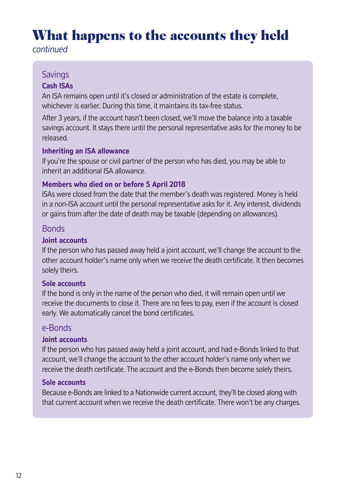# What happens to the accounts they held

*continued*

### **Savings**

#### **Cash ISAs**

An ISA remains open until it's closed or administration of the estate is complete, whichever is earlier. During this time, it maintains its tax-free status.

After 3 years, if the account hasn't been closed, we'll move the balance into a taxable savings account. It stays there until the personal representative asks for the money to be released.

#### **Inheriting an ISA allowance**

If you're the spouse or civil partner of the person who has died, you may be able to inherit an additional ISA allowance.

#### **Members who died on or before 5 April 2018**

ISAs were closed from the date that the member's death was registered. Money is held in a non-ISA account until the personal representative asks for it. Any interest, dividends or gains from after the date of death may be taxable (depending on allowances).

#### **Bonds**

#### **Joint accounts**

If the person who has passed away held a joint account, we'll change the account to the other account holder's name only when we receive the death certificate. It then becomes solely theirs.

#### **Sole accounts**

If the bond is only in the name of the person who died, it will remain open until we receive the documents to close it. There are no fees to pay, even if the account is closed early. We automatically cancel the bond certificates.

#### e-Bonds

#### **Joint accounts**

If the person who has passed away held a joint account, and had e-Bonds linked to that account, we'll change the account to the other account holder's name only when we receive the death certificate. The account and the e-Bonds then become solely theirs.

#### **Sole accounts**

Because e-Bonds are linked to a Nationwide current account, they'll be closed along with that current account when we receive the death certificate. There won't be any charges.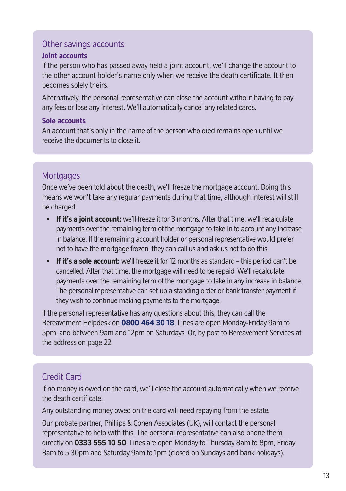### Other savings accounts

#### **Joint accounts**

If the person who has passed away held a joint account, we'll change the account to the other account holder's name only when we receive the death certificate. It then becomes solely theirs.

Alternatively, the personal representative can close the account without having to pay any fees or lose any interest. We'll automatically cancel any related cards.

#### **Sole accounts**

An account that's only in the name of the person who died remains open until we receive the documents to close it.

# **Mortgages**

Once we've been told about the death, we'll freeze the mortgage account. Doing this means we won't take any regular payments during that time, although interest will still be charged.

- **If it's a joint account:** we'll freeze it for 3 months. After that time, we'll recalculate payments over the remaining term of the mortgage to take in to account any increase in balance. If the remaining account holder or personal representative would prefer not to have the mortgage frozen, they can call us and ask us not to do this.
- **If it's a sole account:** we'll freeze it for 12 months as standard this period can't be cancelled. After that time, the mortgage will need to be repaid. We'll recalculate payments over the remaining term of the mortgage to take in any increase in balance. The personal representative can set up a standing order or bank transfer payment if they wish to continue making payments to the mortgage.

If the personal representative has any questions about this, they can call the Bereavement Helpdesk on **0800 464 30 18**. Lines are open Monday-Friday 9am to 5pm, and between 9am and 12pm on Saturdays. Or, by post to Bereavement Services at the address on page 22.

# Credit Card

If no money is owed on the card, we'll close the account automatically when we receive the death certificate.

Any outstanding money owed on the card will need repaying from the estate.

Our probate partner, Phillips & Cohen Associates (UK), will contact the personal representative to help with this. The personal representative can also phone them directly on **0333 555 10 50**. Lines are open Monday to Thursday 8am to 8pm, Friday 8am to 5:30pm and Saturday 9am to 1pm (closed on Sundays and bank holidays).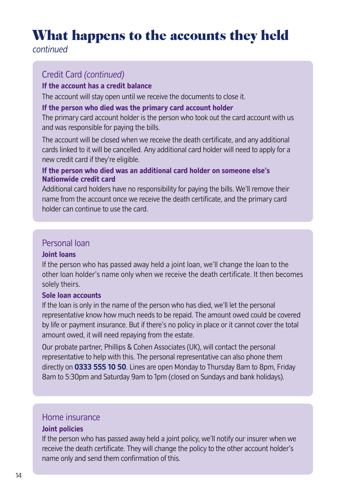# What happens to the accounts they held

*continued*

# Credit Card *(continued)*

#### **If the account has a credit balance**

The account will stay open until we receive the documents to close it.

#### **If the person who died was the primary card account holder**

The primary card account holder is the person who took out the card account with us and was responsible for paying the bills.

The account will be closed when we receive the death certificate, and any additional cards linked to it will be cancelled. Any additional card holder will need to apply for a new credit card if they're eligible.

#### **If the person who died was an additional card holder on someone else's Nationwide credit card**

Additional card holders have no responsibility for paying the bills. We'll remove their name from the account once we receive the death certificate, and the primary card holder can continue to use the card.

### Personal loan

#### **Joint loans**

If the person who has passed away held a joint loan, we'll change the loan to the other loan holder's name only when we receive the death certificate. It then becomes solely theirs.

#### **Sole loan accounts**

If the loan is only in the name of the person who has died, we'll let the personal representative know how much needs to be repaid. The amount owed could be covered by life or payment insurance. But if there's no policy in place or it cannot cover the total amount owed, it will need repaying from the estate.

Our probate partner, Phillips & Cohen Associates (UK), will contact the personal representative to help with this. The personal representative can also phone them directly on **0333 555 10 50**. Lines are open Monday to Thursday 8am to 8pm, Friday 8am to 5:30pm and Saturday 9am to 1pm (closed on Sundays and bank holidays).

### Home insurance

#### **Joint policies**

If the person who has passed away held a joint policy, we'll notify our insurer when we receive the death certificate. They will change the policy to the other account holder's name only and send them confirmation of this.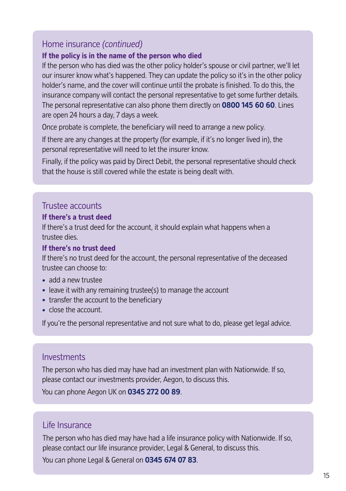### Home insurance *(continued)*

#### **If the policy is in the name of the person who died**

If the person who has died was the other policy holder's spouse or civil partner, we'll let our insurer know what's happened. They can update the policy so it's in the other policy holder's name, and the cover will continue until the probate is finished. To do this, the insurance company will contact the personal representative to get some further details. The personal representative can also phone them directly on **0800 145 60 60**. Lines are open 24 hours a day, 7 days a week.

Once probate is complete, the beneficiary will need to arrange a new policy.

If there are any changes at the property (for example, if it's no longer lived in), the personal representative will need to let the insurer know.

Finally, if the policy was paid by Direct Debit, the personal representative should check that the house is still covered while the estate is being dealt with.

#### Trustee accounts

#### **If there's a trust deed**

If there's a trust deed for the account, it should explain what happens when a trustee dies.

#### **If there's no trust deed**

If there's no trust deed for the account, the personal representative of the deceased trustee can choose to:

- add a new trustee
- leave it with any remaining trustee(s) to manage the account
- transfer the account to the beneficiary
- close the account.

If you're the personal representative and not sure what to do, please get legal advice.

#### Investments

The person who has died may have had an investment plan with Nationwide. If so, please contact our investments provider, Aegon, to discuss this.

You can phone Aegon UK on **0345 272 00 89**.

#### Life Insurance

The person who has died may have had a life insurance policy with Nationwide. If so, please contact our life insurance provider, Legal & General, to discuss this. You can phone Legal & General on **0345 674 07 83**.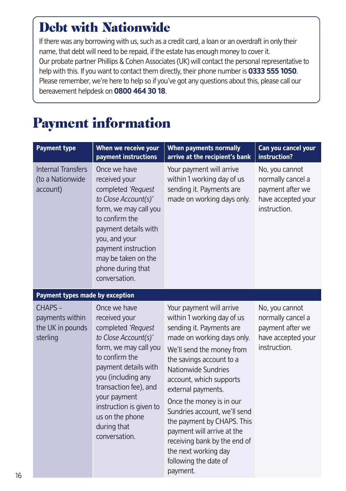# <span id="page-15-0"></span>Debt with Nationwide

If there was any borrowing with us, such as a credit card, a loan or an overdraft in only their name, that debt will need to be repaid, if the estate has enough money to cover it. Our probate partner Phillips & Cohen Associates (UK) will contact the personal representative to help with this. If you want to contact them directly, their phone number is **0333 555 1050**. Please remember, we're here to help so if you've got any questions about this, please call our bereavement helpdesk on **0800 464 30 18**.

# Payment information

| <b>Payment type</b>                                       | When we receive your<br>payment instructions                                                                                                                                                                                                                                                | When payments normally<br>arrive at the recipient's bank                                                                                                                                                                                                                                                                                                                                                                                                               | Can you cancel your<br>instruction?                                                           |
|-----------------------------------------------------------|---------------------------------------------------------------------------------------------------------------------------------------------------------------------------------------------------------------------------------------------------------------------------------------------|------------------------------------------------------------------------------------------------------------------------------------------------------------------------------------------------------------------------------------------------------------------------------------------------------------------------------------------------------------------------------------------------------------------------------------------------------------------------|-----------------------------------------------------------------------------------------------|
| <b>Internal Transfers</b><br>(to a Nationwide<br>account) | Once we have<br>received your<br>completed 'Request<br>to Close Account(s)'<br>form, we may call you<br>to confirm the<br>payment details with<br>you, and your<br>payment instruction<br>may be taken on the<br>phone during that<br>conversation.                                         | Your payment will arrive<br>within 1 working day of us<br>sending it. Payments are<br>made on working days only.                                                                                                                                                                                                                                                                                                                                                       | No, you cannot<br>normally cancel a<br>payment after we<br>have accepted your<br>instruction. |
| Payment types made by exception                           |                                                                                                                                                                                                                                                                                             |                                                                                                                                                                                                                                                                                                                                                                                                                                                                        |                                                                                               |
| CHAPS-<br>payments within<br>the UK in pounds<br>sterling | Once we have<br>received your<br>completed 'Request<br>to Close Account(s)'<br>form, we may call you<br>to confirm the<br>payment details with<br>you (including any<br>transaction fee), and<br>your payment<br>instruction is given to<br>us on the phone<br>during that<br>conversation. | Your payment will arrive<br>within 1 working day of us<br>sending it. Payments are<br>made on working days only.<br>We'll send the money from<br>the savings account to a<br>Nationwide Sundries<br>account, which supports<br>external payments.<br>Once the money is in our<br>Sundries account, we'll send<br>the payment by CHAPS. This<br>payment will arrive at the<br>receiving bank by the end of<br>the next working day<br>following the date of<br>payment. | No, you cannot<br>normally cancel a<br>payment after we<br>have accepted your<br>instruction. |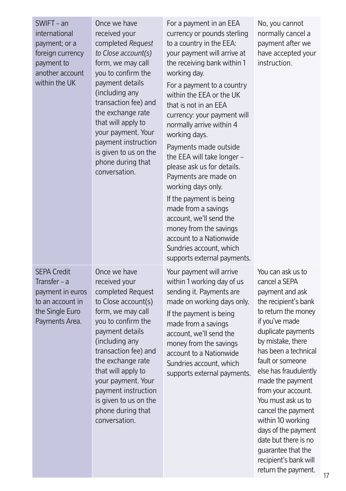| $SWIFT - an$<br>international<br>payment; or a<br>foreign currency<br>payment to<br>another account<br>within the UK | Once we have<br>received your<br>completed Request<br>to Close account(s)<br>form, we may call<br>you to confirm the<br>payment details<br>(including any<br>transaction fee) and<br>the exchange rate<br>that will apply to<br>your payment. Your<br>payment instruction<br>is given to us on the<br>phone during that<br>conversation. | For a payment in an EEA<br>currency or pounds sterling<br>to a country in the EEA:<br>your payment will arrive at<br>the receiving bank within 1<br>working day.<br>For a payment to a country<br>within the EEA or the UK<br>that is not in an FFA<br>currency: your payment will<br>normally arrive within 4<br>working days.<br>Payments made outside<br>the EEA will take longer -<br>please ask us for details.<br>Payments are made on<br>working days only.<br>If the payment is being<br>made from a savings<br>account, we'll send the<br>money from the savings<br>account to a Nationwide<br>Sundries account, which<br>supports external payments. | No, you cannot<br>normally cancel a<br>payment after we<br>have accepted your<br>instruction.                                                                                                                                                                                                                                                                                                                                                                                |
|----------------------------------------------------------------------------------------------------------------------|------------------------------------------------------------------------------------------------------------------------------------------------------------------------------------------------------------------------------------------------------------------------------------------------------------------------------------------|----------------------------------------------------------------------------------------------------------------------------------------------------------------------------------------------------------------------------------------------------------------------------------------------------------------------------------------------------------------------------------------------------------------------------------------------------------------------------------------------------------------------------------------------------------------------------------------------------------------------------------------------------------------|------------------------------------------------------------------------------------------------------------------------------------------------------------------------------------------------------------------------------------------------------------------------------------------------------------------------------------------------------------------------------------------------------------------------------------------------------------------------------|
| <b>SEPA Credit</b><br>Transfer $- a$<br>payment in euros<br>to an account in<br>the Single Euro<br>Payments Area.    | Once we have<br>received your<br>completed Request<br>to Close account(s)<br>form, we may call<br>you to confirm the<br>payment details<br>(including any<br>transaction fee) and<br>the exchange rate<br>that will apply to<br>your payment. Your<br>payment instruction<br>is given to us on the<br>phone during that<br>conversation. | Your payment will arrive<br>within 1 working day of us<br>sending it. Payments are<br>made on working days only.<br>If the payment is being<br>made from a savings<br>account, we'll send the<br>money from the savings<br>account to a Nationwide<br>Sundries account, which<br>supports external payments.                                                                                                                                                                                                                                                                                                                                                   | You can ask us to<br>cancel a SEPA<br>payment and ask<br>the recipient's bank<br>to return the money<br>if you've made<br>duplicate payments<br>by mistake, there<br>has been a technical<br>fault or someone<br>else has fraudulently<br>made the payment<br>from your account.<br>You must ask us to<br>cancel the payment<br>within 10 working<br>days of the payment<br>date but there is no<br>quarantee that the<br>recipient's bank will<br>return the payment.<br>17 |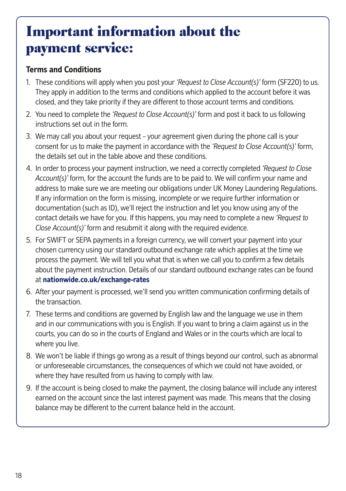# Important information about the payment service:

#### **Terms and Conditions**

- 1. These conditions will apply when you post your *'Request to Close Account(s)'* form (SF220) to us. They apply in addition to the terms and conditions which applied to the account before it was closed, and they take priority if they are different to those account terms and conditions.
- 2. You need to complete the *'Request to Close Account(s)'* form and post it back to us following instructions set out in the form.
- 3. We may call you about your request your agreement given during the phone call is your consent for us to make the payment in accordance with the *'Request to Close Account(s)'* form, the details set out in the table above and these conditions.
- 4. In order to process your payment instruction, we need a correctly completed *'Request to Close Account(s)'* form, for the account the funds are to be paid to. We will confirm your name and address to make sure we are meeting our obligations under UK Money Laundering Regulations. If any information on the form is missing, incomplete or we require further information or documentation (such as ID), we'll reject the instruction and let you know using any of the contact details we have for you. If this happens, you may need to complete a new *'Request to Close Account(s)'* form and resubmit it along with the required evidence.
- 5. For SWIFT or SEPA payments in a foreign currency, we will convert your payment into your chosen currency using our standard outbound exchange rate which applies at the time we process the payment. We will tell you what that is when we call you to confirm a few details about the payment instruction. Details of our standard outbound exchange rates can be found at **<nationwide.co.uk/exchange-rates>**
- 6. After your payment is processed, we'll send you written communication confirming details of the transaction.
- 7. These terms and conditions are governed by English law and the language we use in them and in our communications with you is English. If you want to bring a claim against us in the courts, you can do so in the courts of England and Wales or in the courts which are local to where you live.
- 8. We won't be liable if things go wrong as a result of things beyond our control, such as abnormal or unforeseeable circumstances, the consequences of which we could not have avoided, or where they have resulted from us having to comply with law.
- 9. If the account is being closed to make the payment, the closing balance will include any interest earned on the account since the last interest payment was made. This means that the closing balance may be different to the current balance held in the account.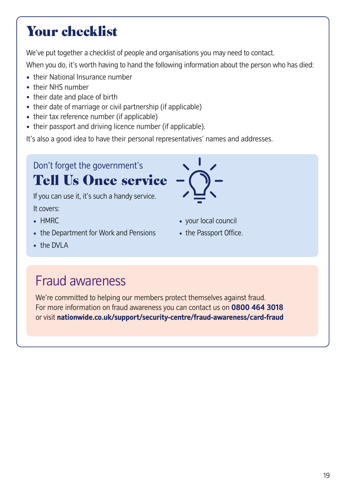# <span id="page-18-0"></span>Your checklist

We've put together a checklist of people and organisations you may need to contact.

When you do, it's worth having to hand the following information about the person who has died:

- their National Insurance number
- their NHS number
- their date and place of birth
- their date of marriage or civil partnership (if applicable)
- their tax reference number (if applicable)
- their passport and driving licence number (if applicable).

It's also a good idea to have their personal representatives' names and addresses.

Don't forget the government's Tell Us Once service

If you can use it, it's such a handy service. It covers:

- 
- the Department for Work and Pensions the Passport Office.
- the DVI A

# Fraud awareness

We're committed to helping our members protect themselves against fraud. For more information on fraud awareness you can contact us on **0800 464 3018** or visit **<nationwide.co.uk/support/security-centre/fraud-awareness/card-fraud>**



- HMRC your local council
	-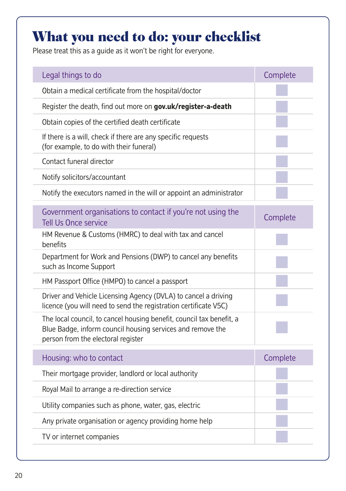# What you need to do: your checklist

Please treat this as a guide as it won't be right for everyone.

| Legal things to do                                                                                                                                                       | Complete |
|--------------------------------------------------------------------------------------------------------------------------------------------------------------------------|----------|
| Obtain a medical certificate from the hospital/doctor                                                                                                                    |          |
| Register the death, find out more on gov.uk/register-a-death                                                                                                             |          |
| Obtain copies of the certified death certificate                                                                                                                         |          |
| If there is a will, check if there are any specific requests<br>(for example, to do with their funeral)                                                                  |          |
| Contact funeral director                                                                                                                                                 |          |
| Notify solicitors/accountant                                                                                                                                             |          |
| Notify the executors named in the will or appoint an administrator                                                                                                       |          |
| Government organisations to contact if you're not using the<br><b>Tell Us Once service</b>                                                                               | Complete |
| HM Revenue & Customs (HMRC) to deal with tax and cancel<br>benefits                                                                                                      |          |
| Department for Work and Pensions (DWP) to cancel any benefits<br>such as Income Support                                                                                  |          |
| HM Passport Office (HMPO) to cancel a passport                                                                                                                           |          |
| Driver and Vehicle Licensing Agency (DVLA) to cancel a driving<br>licence (you will need to send the registration certificate V5C)                                       |          |
| The local council, to cancel housing benefit, council tax benefit, a<br>Blue Badge, inform council housing services and remove the<br>person from the electoral register |          |
| Housing: who to contact                                                                                                                                                  | Complete |
| Their mortgage provider, landlord or local authority                                                                                                                     |          |
| Royal Mail to arrange a re-direction service                                                                                                                             |          |
| Utility companies such as phone, water, gas, electric                                                                                                                    |          |
| Any private organisation or agency providing home help                                                                                                                   |          |
| TV or internet companies                                                                                                                                                 |          |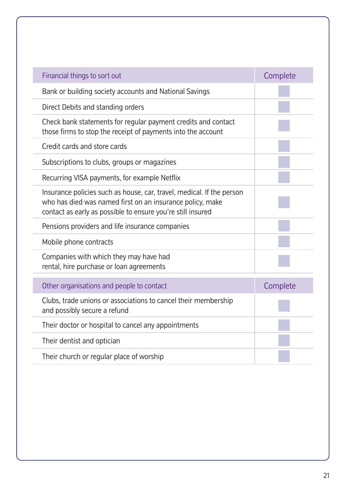| Financial things to sort out                                                                                                                                                                      | Complete |
|---------------------------------------------------------------------------------------------------------------------------------------------------------------------------------------------------|----------|
| Bank or building society accounts and National Savings                                                                                                                                            |          |
| Direct Debits and standing orders                                                                                                                                                                 |          |
| Check bank statements for regular payment credits and contact<br>those firms to stop the receipt of payments into the account                                                                     |          |
| Credit cards and store cards                                                                                                                                                                      |          |
| Subscriptions to clubs, groups or magazines                                                                                                                                                       |          |
| Recurring VISA payments, for example Netflix                                                                                                                                                      |          |
| Insurance policies such as house, car, travel, medical. If the person<br>who has died was named first on an insurance policy, make<br>contact as early as possible to ensure you're still insured |          |
| Pensions providers and life insurance companies                                                                                                                                                   |          |
| Mobile phone contracts                                                                                                                                                                            |          |
| Companies with which they may have had<br>rental, hire purchase or loan agreements                                                                                                                |          |
| Other organisations and people to contact                                                                                                                                                         | Complete |
| Clubs, trade unions or associations to cancel their membership<br>and possibly secure a refund                                                                                                    |          |
| Their doctor or hospital to cancel any appointments                                                                                                                                               |          |
| Their dentist and optician                                                                                                                                                                        |          |
| Their church or regular place of worship                                                                                                                                                          |          |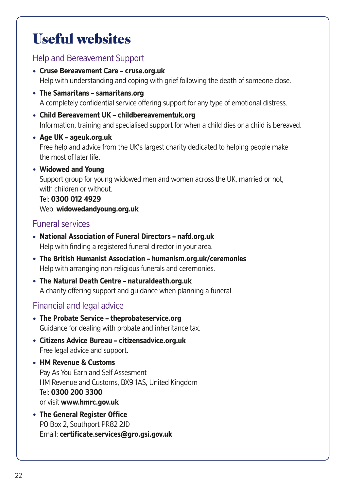# <span id="page-21-0"></span>Useful websites

### Help and Bereavement Support

- **Cruse Bereavement Care <cruse.org.uk>** Help with understanding and coping with grief following the death of someone close.
- **The Samaritans – [samaritans.org](https://samaritans.org)** A completely confidential service offering support for any type of emotional distress.
- **Child Bereavement UK [childbereavementuk.org](https://childbereavementuk.org)** Information, training and specialised support for when a child dies or a child is bereaved.
- **Age UK <ageuk.org.uk>** Free help and advice from the UK's largest charity dedicated to helping people make the most of later life.
- **Widowed and Young** Support group for young widowed men and women across the UK, married or not, with children or without. Tel: **0300 012 4929**

Web: **<widowedandyoung.org.uk>**

# Funeral services

- **National Association of Funeral Directors –<nafd.org.uk>** Help with finding a registered funeral director in your area.
- **The British Humanist Association –<humanism.org.uk/ceremonies>** Help with arranging non-religious funerals and ceremonies.
- **The Natural Death Centre –<naturaldeath.org.uk>** A charity offering support and guidance when planning a funeral.

# Financial and legal advice

- **The Probate Service –<theprobateservice.org>** Guidance for dealing with probate and inheritance tax.
- **Citizens Advice Bureau –<citizensadvice.org.uk>** Free legal advice and support.
- **HM Revenue & Customs** Pay As You Earn and Self Assesment HM Revenue and Customs, BX9 1AS, United Kingdom Tel: **0300 200 3300** or visit **<www.hmrc.gov.uk>**
- **The General Register Office** PO Box 2, Southport PR82 2JD Email: **[certificate.services@gro.gsi.gov.uk](mailto:certificate.services@gro.gsi.gov.uk)**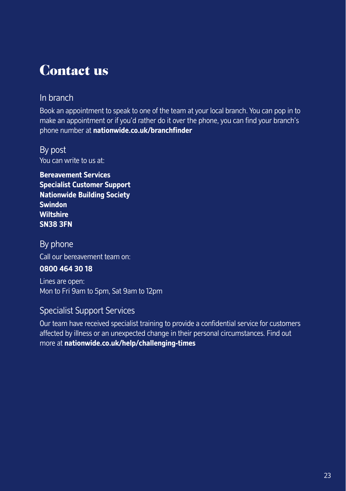# <span id="page-22-0"></span>Contact us

# In branch

Book an appointment to speak to one of the team at your local branch. You can pop in to make an appointment or if you'd rather do it over the phone, you can find your branch's phone number at **<nationwide.co.uk/branchfinder>**

By post You can write to us at:

**Bereavement Services Specialist Customer Support Nationwide Building Society Swindon Wiltshire SN38 3FN**

By phone Call our bereavement team on:

#### **0800 464 30 18**

Lines are open: Mon to Fri 9am to 5pm, Sat 9am to 12pm

### Specialist Support Services

Our team have received specialist training to provide a confidential service for customers affected by illness or an unexpected change in their personal circumstances. Find out more at **<nationwide.co.uk/help/challenging-times>**